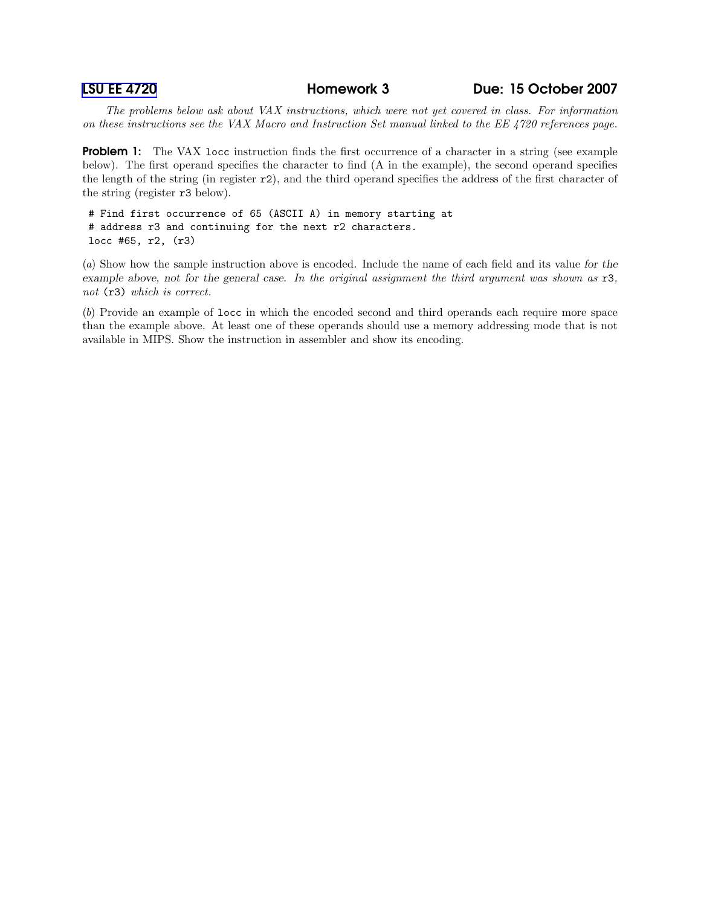LSU EE [4720](http://www.ece.lsu.edu/ee4720/) Homework 3 Due: 15 October 2007

The problems below ask about VAX instructions, which were not yet covered in class. For information on these instructions see the VAX Macro and Instruction Set manual linked to the EE 4720 references page.

**Problem 1:** The VAX locc instruction finds the first occurrence of a character in a string (see example below). The first operand specifies the character to find (A in the example), the second operand specifies the length of the string (in register  $r2$ ), and the third operand specifies the address of the first character of the string (register r3 below).

# Find first occurrence of 65 (ASCII A) in memory starting at # address r3 and continuing for the next r2 characters. locc #65, r2, (r3)

(a) Show how the sample instruction above is encoded. Include the name of each field and its value for the example above, not for the general case. In the original assignment the third argument was shown as r3, not (r3) which is correct.

(b) Provide an example of locc in which the encoded second and third operands each require more space than the example above. At least one of these operands should use a memory addressing mode that is not available in MIPS. Show the instruction in assembler and show its encoding.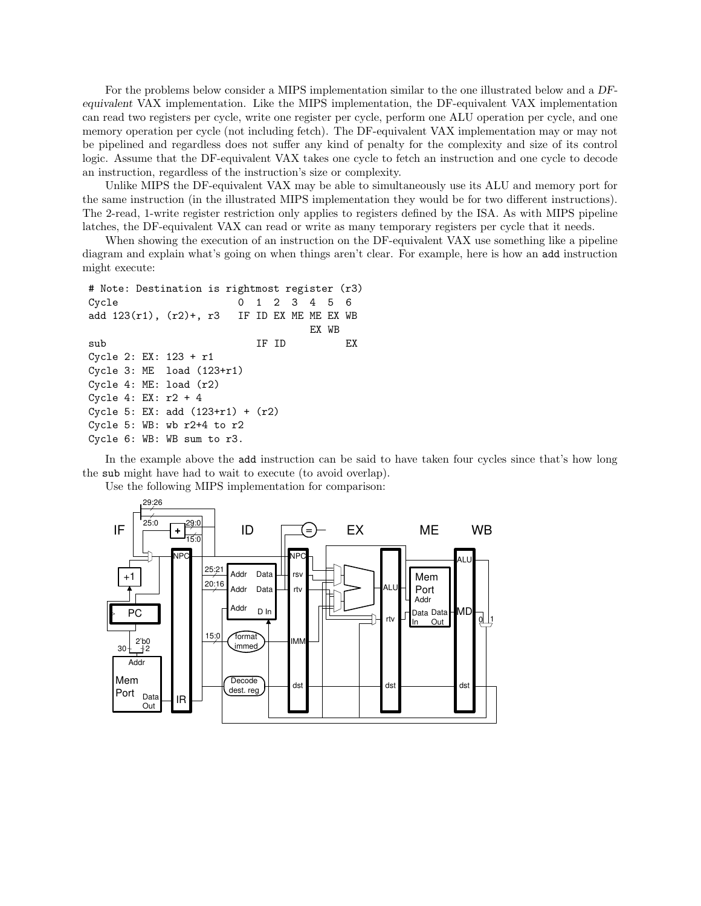For the problems below consider a MIPS implementation similar to the one illustrated below and a DFequivalent VAX implementation. Like the MIPS implementation, the DF-equivalent VAX implementation can read two registers per cycle, write one register per cycle, perform one ALU operation per cycle, and one memory operation per cycle (not including fetch). The DF-equivalent VAX implementation may or may not be pipelined and regardless does not suffer any kind of penalty for the complexity and size of its control logic. Assume that the DF-equivalent VAX takes one cycle to fetch an instruction and one cycle to decode an instruction, regardless of the instruction's size or complexity.

Unlike MIPS the DF-equivalent VAX may be able to simultaneously use its ALU and memory port for the same instruction (in the illustrated MIPS implementation they would be for two different instructions). The 2-read, 1-write register restriction only applies to registers defined by the ISA. As with MIPS pipeline latches, the DF-equivalent VAX can read or write as many temporary registers per cycle that it needs.

When showing the execution of an instruction on the DF-equivalent VAX use something like a pipeline diagram and explain what's going on when things aren't clear. For example, here is how an add instruction might execute:

```
# Note: Destination is rightmost register (r3)
Cycle 0 1 2 3 4 5 6
add 123(r1), (r2)+, r3 IF ID EX ME ME EX WB
                               EX WB
sub IF ID EX
Cycle 2: EX: 123 + r1
Cycle 3: ME load (123+r1)
Cycle 4: ME: load (r2)
Cycle 4: EX: r2 + 4
Cycle 5: EX: add (123+r1) + (r2)
Cycle 5: WB: wb r2+4 to r2
Cycle 6: WB: WB sum to r3.
```
In the example above the add instruction can be said to have taken four cycles since that's how long the sub might have had to wait to execute (to avoid overlap).



Use the following MIPS implementation for comparison: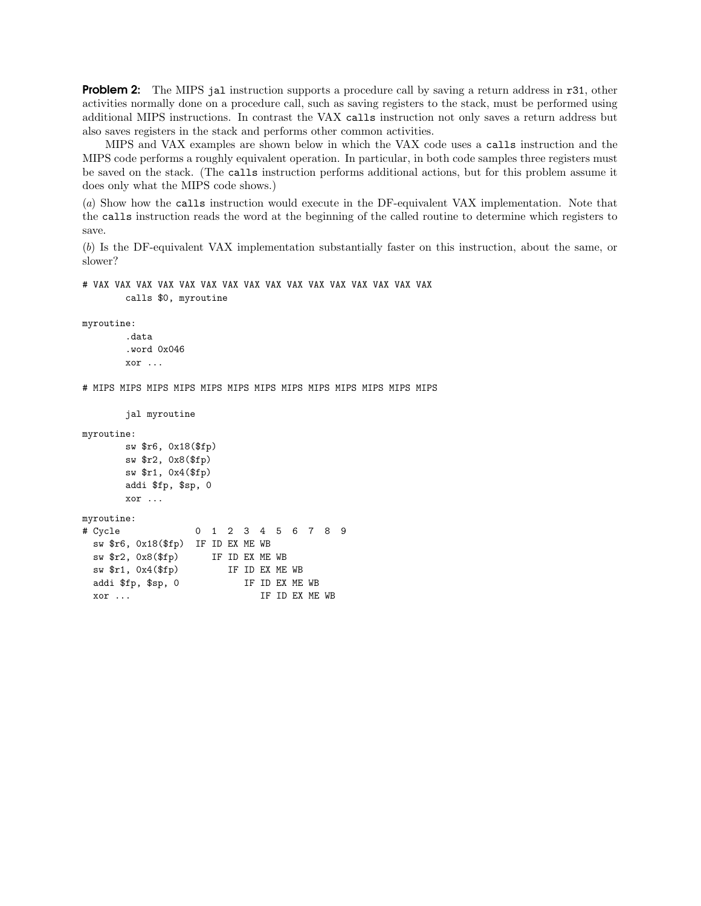**Problem 2:** The MIPS jal instruction supports a procedure call by saving a return address in r31, other activities normally done on a procedure call, such as saving registers to the stack, must be performed using additional MIPS instructions. In contrast the VAX calls instruction not only saves a return address but also saves registers in the stack and performs other common activities.

MIPS and VAX examples are shown below in which the VAX code uses a calls instruction and the MIPS code performs a roughly equivalent operation. In particular, in both code samples three registers must be saved on the stack. (The calls instruction performs additional actions, but for this problem assume it does only what the MIPS code shows.)

(a) Show how the calls instruction would execute in the DF-equivalent VAX implementation. Note that the calls instruction reads the word at the beginning of the called routine to determine which registers to save.

(b) Is the DF-equivalent VAX implementation substantially faster on this instruction, about the same, or slower?

```
# VAX VAX VAX VAX VAX VAX VAX VAX VAX VAX VAX VAX VAX VAX VAX VAX
        calls $0, myroutine
```
myroutine:

```
.data
.word 0x046
xor ...
```
# MIPS MIPS MIPS MIPS MIPS MIPS MIPS MIPS MIPS MIPS MIPS MIPS MIPS

```
jal myroutine
```
myroutine:

```
sw $r6, 0x18($fp)
sw $r2, 0x8($fp)
sw $r1, 0x4($fp)
addi $fp, $sp, 0
xor ...
```

```
myroutine:
# Cycle 0 1 2 3 4 5 6 7 8 9
 sw $r6, 0x18($fp) IF ID EX ME WB
 sw $r2, 0x8($fp) IF ID EX ME WB
 sw $r1, 0x4($fp) IF ID EX ME WB
 addi $fp, $sp, 0 IF ID EX ME WB
 xor ... IF ID EX ME WB
```